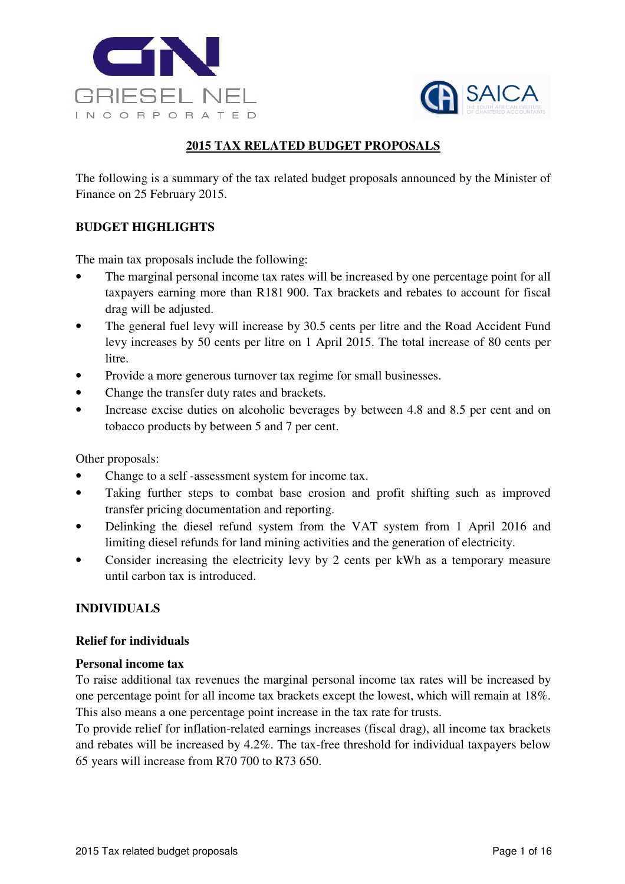



# **2015 TAX RELATED BUDGET PROPOSALS**

The following is a summary of the tax related budget proposals announced by the Minister of Finance on 25 February 2015.

## **BUDGET HIGHLIGHTS**

The main tax proposals include the following:

- The marginal personal income tax rates will be increased by one percentage point for all taxpayers earning more than R181 900. Tax brackets and rebates to account for fiscal drag will be adjusted.
- The general fuel levy will increase by 30.5 cents per litre and the Road Accident Fund levy increases by 50 cents per litre on 1 April 2015. The total increase of 80 cents per litre.
- Provide a more generous turnover tax regime for small businesses.
- Change the transfer duty rates and brackets.
- Increase excise duties on alcoholic beverages by between 4.8 and 8.5 per cent and on tobacco products by between 5 and 7 per cent.

Other proposals:

- Change to a self-assessment system for income tax.
- Taking further steps to combat base erosion and profit shifting such as improved transfer pricing documentation and reporting.
- Delinking the diesel refund system from the VAT system from 1 April 2016 and limiting diesel refunds for land mining activities and the generation of electricity.
- Consider increasing the electricity levy by 2 cents per kWh as a temporary measure until carbon tax is introduced.

## **INDIVIDUALS**

#### **Relief for individuals**

#### **Personal income tax**

To raise additional tax revenues the marginal personal income tax rates will be increased by one percentage point for all income tax brackets except the lowest, which will remain at 18%. This also means a one percentage point increase in the tax rate for trusts.

To provide relief for inflation-related earnings increases (fiscal drag), all income tax brackets and rebates will be increased by 4.2%. The tax-free threshold for individual taxpayers below 65 years will increase from R70 700 to R73 650.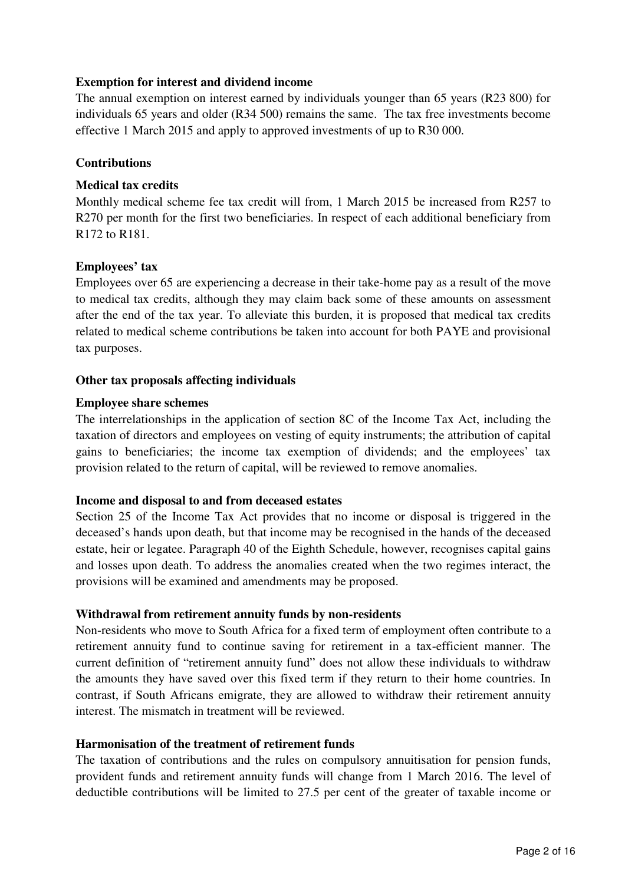## **Exemption for interest and dividend income**

The annual exemption on interest earned by individuals younger than 65 years (R23 800) for individuals 65 years and older (R34 500) remains the same. The tax free investments become effective 1 March 2015 and apply to approved investments of up to R30 000.

### **Contributions**

### **Medical tax credits**

Monthly medical scheme fee tax credit will from, 1 March 2015 be increased from R257 to R270 per month for the first two beneficiaries. In respect of each additional beneficiary from R172 to R181.

### **Employees' tax**

Employees over 65 are experiencing a decrease in their take-home pay as a result of the move to medical tax credits, although they may claim back some of these amounts on assessment after the end of the tax year. To alleviate this burden, it is proposed that medical tax credits related to medical scheme contributions be taken into account for both PAYE and provisional tax purposes.

### **Other tax proposals affecting individuals**

### **Employee share schemes**

The interrelationships in the application of section 8C of the Income Tax Act, including the taxation of directors and employees on vesting of equity instruments; the attribution of capital gains to beneficiaries; the income tax exemption of dividends; and the employees' tax provision related to the return of capital, will be reviewed to remove anomalies.

#### **Income and disposal to and from deceased estates**

Section 25 of the Income Tax Act provides that no income or disposal is triggered in the deceased's hands upon death, but that income may be recognised in the hands of the deceased estate, heir or legatee. Paragraph 40 of the Eighth Schedule, however, recognises capital gains and losses upon death. To address the anomalies created when the two regimes interact, the provisions will be examined and amendments may be proposed.

## **Withdrawal from retirement annuity funds by non-residents**

Non-residents who move to South Africa for a fixed term of employment often contribute to a retirement annuity fund to continue saving for retirement in a tax-efficient manner. The current definition of "retirement annuity fund" does not allow these individuals to withdraw the amounts they have saved over this fixed term if they return to their home countries. In contrast, if South Africans emigrate, they are allowed to withdraw their retirement annuity interest. The mismatch in treatment will be reviewed.

#### **Harmonisation of the treatment of retirement funds**

The taxation of contributions and the rules on compulsory annuitisation for pension funds, provident funds and retirement annuity funds will change from 1 March 2016. The level of deductible contributions will be limited to 27.5 per cent of the greater of taxable income or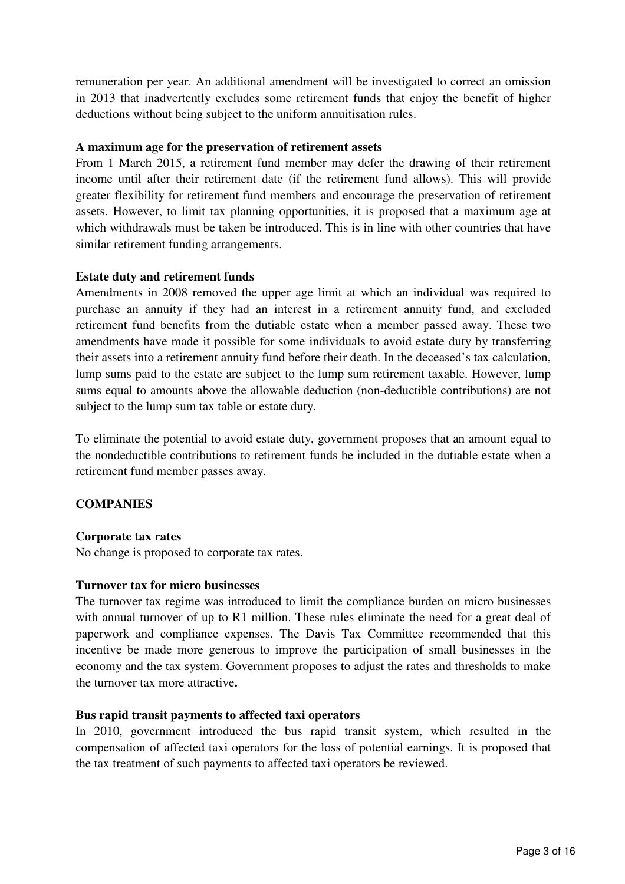remuneration per year. An additional amendment will be investigated to correct an omission in 2013 that inadvertently excludes some retirement funds that enjoy the benefit of higher deductions without being subject to the uniform annuitisation rules.

### **A maximum age for the preservation of retirement assets**

From 1 March 2015, a retirement fund member may defer the drawing of their retirement income until after their retirement date (if the retirement fund allows). This will provide greater flexibility for retirement fund members and encourage the preservation of retirement assets. However, to limit tax planning opportunities, it is proposed that a maximum age at which withdrawals must be taken be introduced. This is in line with other countries that have similar retirement funding arrangements.

#### **Estate duty and retirement funds**

Amendments in 2008 removed the upper age limit at which an individual was required to purchase an annuity if they had an interest in a retirement annuity fund, and excluded retirement fund benefits from the dutiable estate when a member passed away. These two amendments have made it possible for some individuals to avoid estate duty by transferring their assets into a retirement annuity fund before their death. In the deceased's tax calculation, lump sums paid to the estate are subject to the lump sum retirement taxable. However, lump sums equal to amounts above the allowable deduction (non-deductible contributions) are not subject to the lump sum tax table or estate duty.

To eliminate the potential to avoid estate duty, government proposes that an amount equal to the nondeductible contributions to retirement funds be included in the dutiable estate when a retirement fund member passes away.

## **COMPANIES**

## **Corporate tax rates**

No change is proposed to corporate tax rates.

#### **Turnover tax for micro businesses**

The turnover tax regime was introduced to limit the compliance burden on micro businesses with annual turnover of up to R1 million. These rules eliminate the need for a great deal of paperwork and compliance expenses. The Davis Tax Committee recommended that this incentive be made more generous to improve the participation of small businesses in the economy and the tax system. Government proposes to adjust the rates and thresholds to make the turnover tax more attractive**.** 

## **Bus rapid transit payments to affected taxi operators**

In 2010, government introduced the bus rapid transit system, which resulted in the compensation of affected taxi operators for the loss of potential earnings. It is proposed that the tax treatment of such payments to affected taxi operators be reviewed.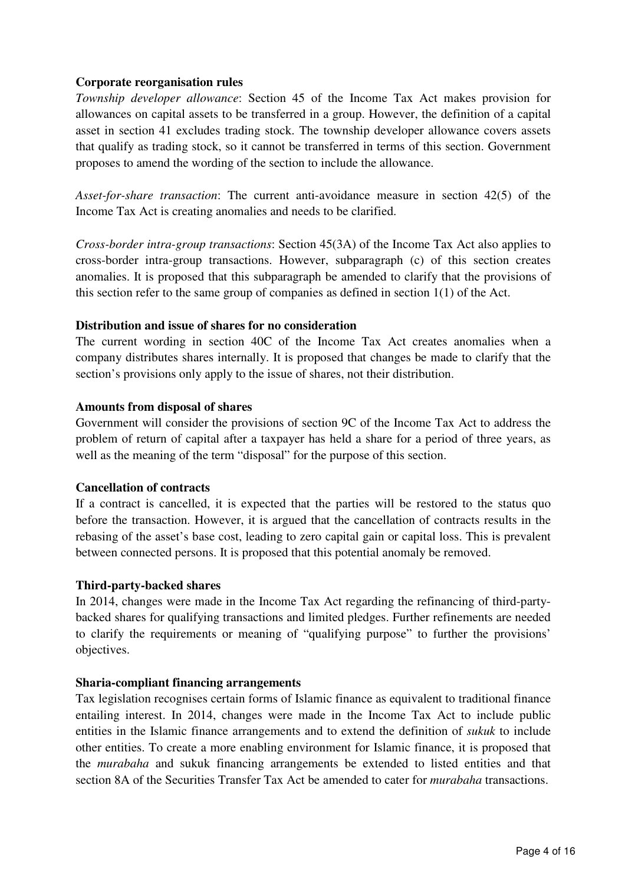### **Corporate reorganisation rules**

*Township developer allowance*: Section 45 of the Income Tax Act makes provision for allowances on capital assets to be transferred in a group. However, the definition of a capital asset in section 41 excludes trading stock. The township developer allowance covers assets that qualify as trading stock, so it cannot be transferred in terms of this section. Government proposes to amend the wording of the section to include the allowance.

*Asset-for-share transaction*: The current anti-avoidance measure in section 42(5) of the Income Tax Act is creating anomalies and needs to be clarified.

*Cross-border intra-group transactions*: Section 45(3A) of the Income Tax Act also applies to cross-border intra-group transactions. However, subparagraph (c) of this section creates anomalies. It is proposed that this subparagraph be amended to clarify that the provisions of this section refer to the same group of companies as defined in section 1(1) of the Act.

### **Distribution and issue of shares for no consideration**

The current wording in section 40C of the Income Tax Act creates anomalies when a company distributes shares internally. It is proposed that changes be made to clarify that the section's provisions only apply to the issue of shares, not their distribution.

#### **Amounts from disposal of shares**

Government will consider the provisions of section 9C of the Income Tax Act to address the problem of return of capital after a taxpayer has held a share for a period of three years, as well as the meaning of the term "disposal" for the purpose of this section.

#### **Cancellation of contracts**

If a contract is cancelled, it is expected that the parties will be restored to the status quo before the transaction. However, it is argued that the cancellation of contracts results in the rebasing of the asset's base cost, leading to zero capital gain or capital loss. This is prevalent between connected persons. It is proposed that this potential anomaly be removed.

#### **Third-party-backed shares**

In 2014, changes were made in the Income Tax Act regarding the refinancing of third-partybacked shares for qualifying transactions and limited pledges. Further refinements are needed to clarify the requirements or meaning of "qualifying purpose" to further the provisions' objectives.

#### **Sharia-compliant financing arrangements**

Tax legislation recognises certain forms of Islamic finance as equivalent to traditional finance entailing interest. In 2014, changes were made in the Income Tax Act to include public entities in the Islamic finance arrangements and to extend the definition of *sukuk* to include other entities. To create a more enabling environment for Islamic finance, it is proposed that the *murabaha* and sukuk financing arrangements be extended to listed entities and that section 8A of the Securities Transfer Tax Act be amended to cater for *murabaha* transactions.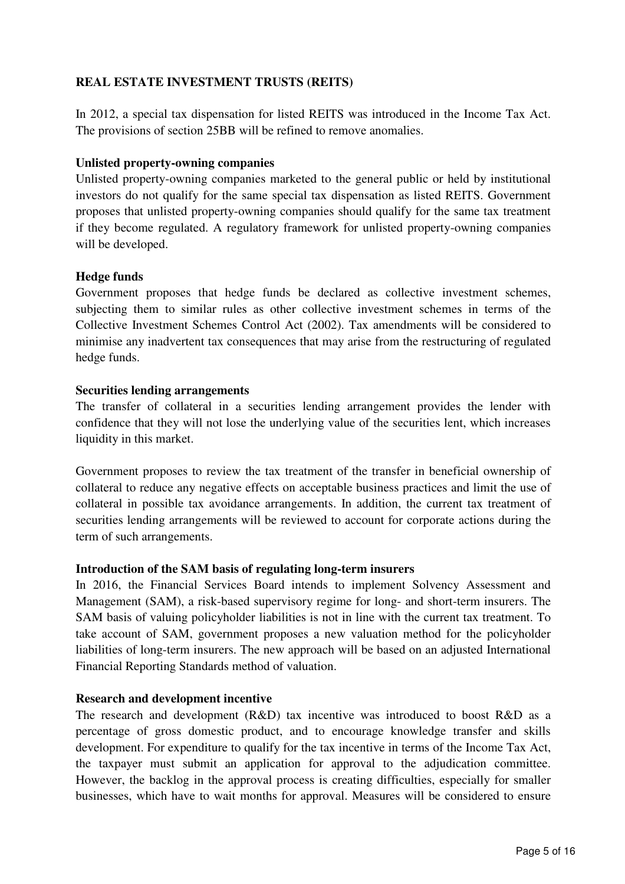## **REAL ESTATE INVESTMENT TRUSTS (REITS)**

In 2012, a special tax dispensation for listed REITS was introduced in the Income Tax Act. The provisions of section 25BB will be refined to remove anomalies.

### **Unlisted property-owning companies**

Unlisted property-owning companies marketed to the general public or held by institutional investors do not qualify for the same special tax dispensation as listed REITS. Government proposes that unlisted property-owning companies should qualify for the same tax treatment if they become regulated. A regulatory framework for unlisted property-owning companies will be developed.

### **Hedge funds**

Government proposes that hedge funds be declared as collective investment schemes, subjecting them to similar rules as other collective investment schemes in terms of the Collective Investment Schemes Control Act (2002). Tax amendments will be considered to minimise any inadvertent tax consequences that may arise from the restructuring of regulated hedge funds.

### **Securities lending arrangements**

The transfer of collateral in a securities lending arrangement provides the lender with confidence that they will not lose the underlying value of the securities lent, which increases liquidity in this market.

Government proposes to review the tax treatment of the transfer in beneficial ownership of collateral to reduce any negative effects on acceptable business practices and limit the use of collateral in possible tax avoidance arrangements. In addition, the current tax treatment of securities lending arrangements will be reviewed to account for corporate actions during the term of such arrangements.

#### **Introduction of the SAM basis of regulating long-term insurers**

In 2016, the Financial Services Board intends to implement Solvency Assessment and Management (SAM), a risk-based supervisory regime for long- and short-term insurers. The SAM basis of valuing policyholder liabilities is not in line with the current tax treatment. To take account of SAM, government proposes a new valuation method for the policyholder liabilities of long-term insurers. The new approach will be based on an adjusted International Financial Reporting Standards method of valuation.

## **Research and development incentive**

The research and development (R&D) tax incentive was introduced to boost R&D as a percentage of gross domestic product, and to encourage knowledge transfer and skills development. For expenditure to qualify for the tax incentive in terms of the Income Tax Act, the taxpayer must submit an application for approval to the adjudication committee. However, the backlog in the approval process is creating difficulties, especially for smaller businesses, which have to wait months for approval. Measures will be considered to ensure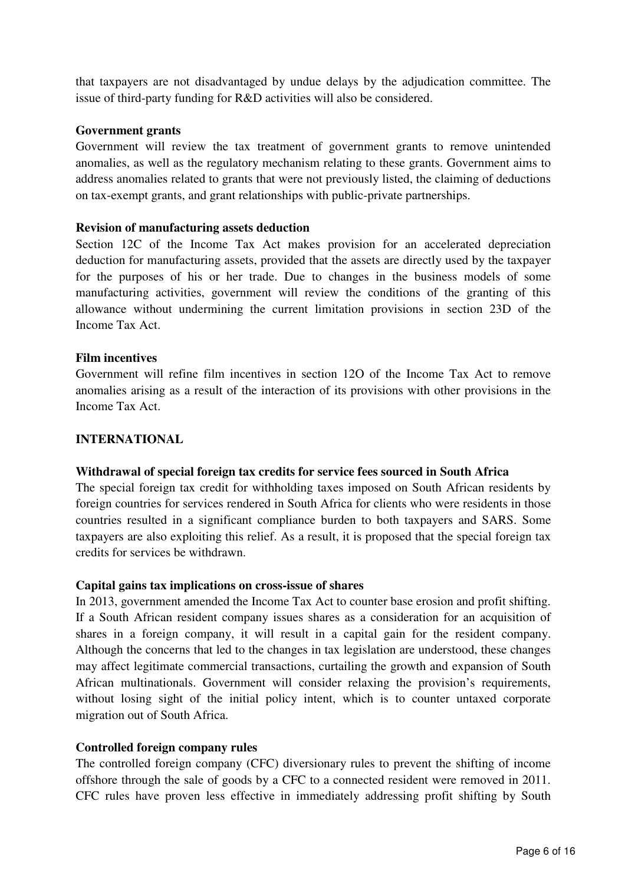that taxpayers are not disadvantaged by undue delays by the adjudication committee. The issue of third-party funding for R&D activities will also be considered.

### **Government grants**

Government will review the tax treatment of government grants to remove unintended anomalies, as well as the regulatory mechanism relating to these grants. Government aims to address anomalies related to grants that were not previously listed, the claiming of deductions on tax-exempt grants, and grant relationships with public-private partnerships.

### **Revision of manufacturing assets deduction**

Section 12C of the Income Tax Act makes provision for an accelerated depreciation deduction for manufacturing assets, provided that the assets are directly used by the taxpayer for the purposes of his or her trade. Due to changes in the business models of some manufacturing activities, government will review the conditions of the granting of this allowance without undermining the current limitation provisions in section 23D of the Income Tax Act.

#### **Film incentives**

Government will refine film incentives in section 12O of the Income Tax Act to remove anomalies arising as a result of the interaction of its provisions with other provisions in the Income Tax Act.

### **INTERNATIONAL**

#### **Withdrawal of special foreign tax credits for service fees sourced in South Africa**

The special foreign tax credit for withholding taxes imposed on South African residents by foreign countries for services rendered in South Africa for clients who were residents in those countries resulted in a significant compliance burden to both taxpayers and SARS. Some taxpayers are also exploiting this relief. As a result, it is proposed that the special foreign tax credits for services be withdrawn.

#### **Capital gains tax implications on cross-issue of shares**

In 2013, government amended the Income Tax Act to counter base erosion and profit shifting. If a South African resident company issues shares as a consideration for an acquisition of shares in a foreign company, it will result in a capital gain for the resident company. Although the concerns that led to the changes in tax legislation are understood, these changes may affect legitimate commercial transactions, curtailing the growth and expansion of South African multinationals. Government will consider relaxing the provision's requirements, without losing sight of the initial policy intent, which is to counter untaxed corporate migration out of South Africa.

#### **Controlled foreign company rules**

The controlled foreign company (CFC) diversionary rules to prevent the shifting of income offshore through the sale of goods by a CFC to a connected resident were removed in 2011. CFC rules have proven less effective in immediately addressing profit shifting by South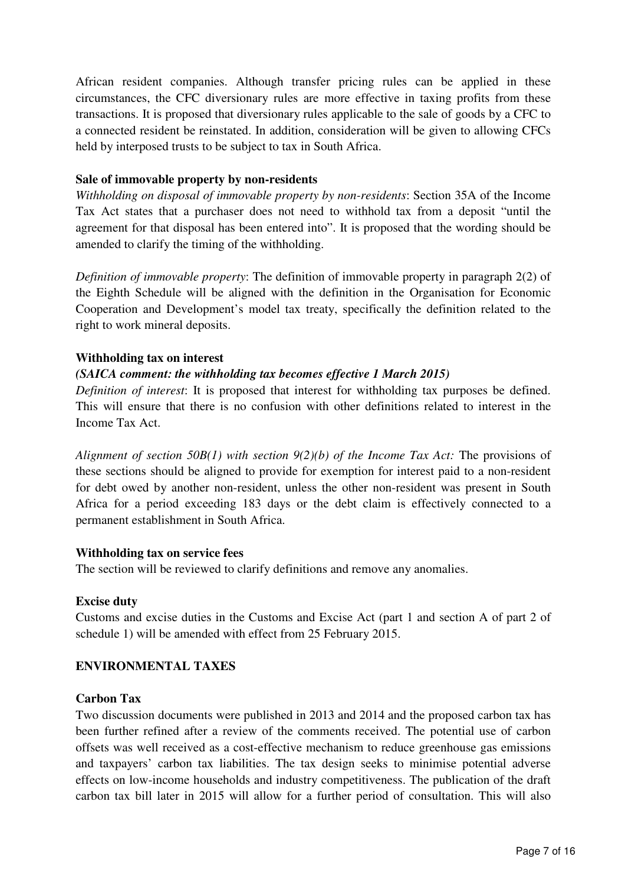African resident companies. Although transfer pricing rules can be applied in these circumstances, the CFC diversionary rules are more effective in taxing profits from these transactions. It is proposed that diversionary rules applicable to the sale of goods by a CFC to a connected resident be reinstated. In addition, consideration will be given to allowing CFCs held by interposed trusts to be subject to tax in South Africa.

### **Sale of immovable property by non-residents**

*Withholding on disposal of immovable property by non-residents*: Section 35A of the Income Tax Act states that a purchaser does not need to withhold tax from a deposit "until the agreement for that disposal has been entered into". It is proposed that the wording should be amended to clarify the timing of the withholding.

*Definition of immovable property*: The definition of immovable property in paragraph 2(2) of the Eighth Schedule will be aligned with the definition in the Organisation for Economic Cooperation and Development's model tax treaty, specifically the definition related to the right to work mineral deposits.

### **Withholding tax on interest**

## *(SAICA comment: the withholding tax becomes effective 1 March 2015)*

*Definition of interest*: It is proposed that interest for withholding tax purposes be defined. This will ensure that there is no confusion with other definitions related to interest in the Income Tax Act.

*Alignment of section 50B(1) with section 9(2)(b) of the Income Tax Act:* The provisions of these sections should be aligned to provide for exemption for interest paid to a non-resident for debt owed by another non-resident, unless the other non-resident was present in South Africa for a period exceeding 183 days or the debt claim is effectively connected to a permanent establishment in South Africa.

#### **Withholding tax on service fees**

The section will be reviewed to clarify definitions and remove any anomalies.

#### **Excise duty**

Customs and excise duties in the Customs and Excise Act (part 1 and section A of part 2 of schedule 1) will be amended with effect from 25 February 2015.

## **ENVIRONMENTAL TAXES**

#### **Carbon Tax**

Two discussion documents were published in 2013 and 2014 and the proposed carbon tax has been further refined after a review of the comments received. The potential use of carbon offsets was well received as a cost-effective mechanism to reduce greenhouse gas emissions and taxpayers' carbon tax liabilities. The tax design seeks to minimise potential adverse effects on low-income households and industry competitiveness. The publication of the draft carbon tax bill later in 2015 will allow for a further period of consultation. This will also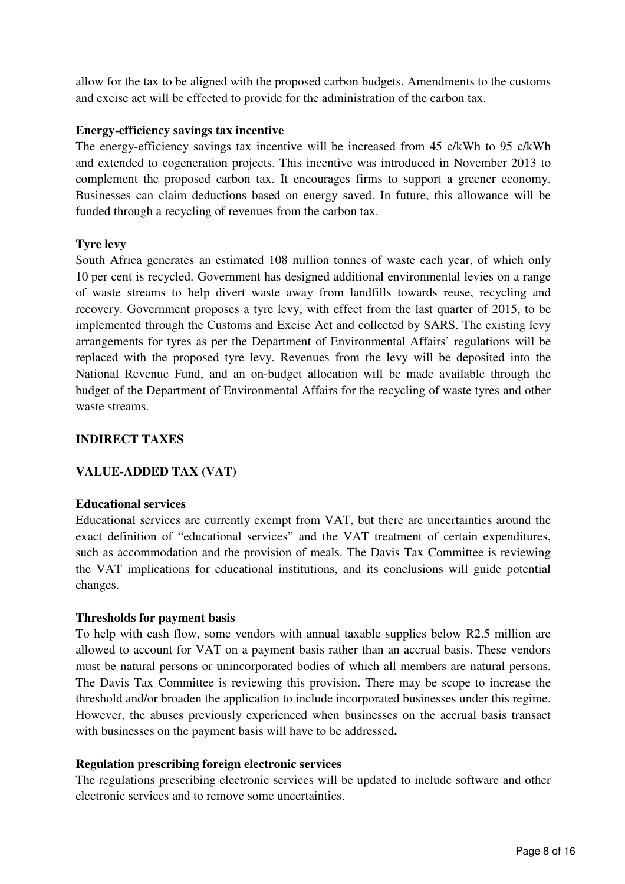allow for the tax to be aligned with the proposed carbon budgets. Amendments to the customs and excise act will be effected to provide for the administration of the carbon tax.

## **Energy-efficiency savings tax incentive**

The energy-efficiency savings tax incentive will be increased from 45 c/kWh to 95 c/kWh and extended to cogeneration projects. This incentive was introduced in November 2013 to complement the proposed carbon tax. It encourages firms to support a greener economy. Businesses can claim deductions based on energy saved. In future, this allowance will be funded through a recycling of revenues from the carbon tax.

### **Tyre levy**

South Africa generates an estimated 108 million tonnes of waste each year, of which only 10 per cent is recycled. Government has designed additional environmental levies on a range of waste streams to help divert waste away from landfills towards reuse, recycling and recovery. Government proposes a tyre levy, with effect from the last quarter of 2015, to be implemented through the Customs and Excise Act and collected by SARS. The existing levy arrangements for tyres as per the Department of Environmental Affairs' regulations will be replaced with the proposed tyre levy. Revenues from the levy will be deposited into the National Revenue Fund, and an on-budget allocation will be made available through the budget of the Department of Environmental Affairs for the recycling of waste tyres and other waste streams.

### **INDIRECT TAXES**

## **VALUE-ADDED TAX (VAT)**

#### **Educational services**

Educational services are currently exempt from VAT, but there are uncertainties around the exact definition of "educational services" and the VAT treatment of certain expenditures, such as accommodation and the provision of meals. The Davis Tax Committee is reviewing the VAT implications for educational institutions, and its conclusions will guide potential changes.

#### **Thresholds for payment basis**

To help with cash flow, some vendors with annual taxable supplies below R2.5 million are allowed to account for VAT on a payment basis rather than an accrual basis. These vendors must be natural persons or unincorporated bodies of which all members are natural persons. The Davis Tax Committee is reviewing this provision. There may be scope to increase the threshold and/or broaden the application to include incorporated businesses under this regime. However, the abuses previously experienced when businesses on the accrual basis transact with businesses on the payment basis will have to be addressed**.**

#### **Regulation prescribing foreign electronic services**

The regulations prescribing electronic services will be updated to include software and other electronic services and to remove some uncertainties.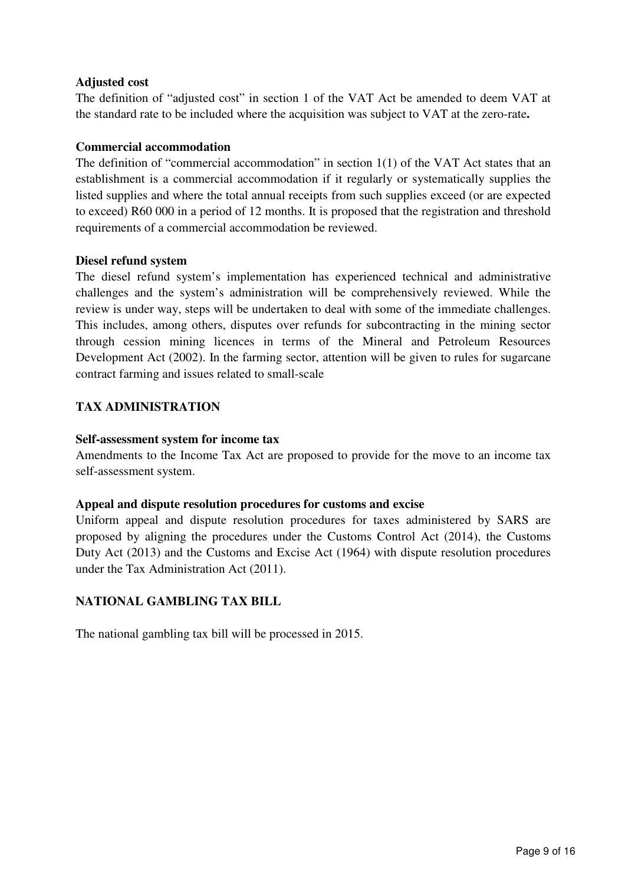## **Adjusted cost**

The definition of "adjusted cost" in section 1 of the VAT Act be amended to deem VAT at the standard rate to be included where the acquisition was subject to VAT at the zero-rate**.**

### **Commercial accommodation**

The definition of "commercial accommodation" in section 1(1) of the VAT Act states that an establishment is a commercial accommodation if it regularly or systematically supplies the listed supplies and where the total annual receipts from such supplies exceed (or are expected to exceed) R60 000 in a period of 12 months. It is proposed that the registration and threshold requirements of a commercial accommodation be reviewed.

### **Diesel refund system**

The diesel refund system's implementation has experienced technical and administrative challenges and the system's administration will be comprehensively reviewed. While the review is under way, steps will be undertaken to deal with some of the immediate challenges. This includes, among others, disputes over refunds for subcontracting in the mining sector through cession mining licences in terms of the Mineral and Petroleum Resources Development Act (2002). In the farming sector, attention will be given to rules for sugarcane contract farming and issues related to small-scale

## **TAX ADMINISTRATION**

### **Self-assessment system for income tax**

Amendments to the Income Tax Act are proposed to provide for the move to an income tax self-assessment system.

## **Appeal and dispute resolution procedures for customs and excise**

Uniform appeal and dispute resolution procedures for taxes administered by SARS are proposed by aligning the procedures under the Customs Control Act (2014), the Customs Duty Act (2013) and the Customs and Excise Act (1964) with dispute resolution procedures under the Tax Administration Act (2011).

# **NATIONAL GAMBLING TAX BILL**

The national gambling tax bill will be processed in 2015.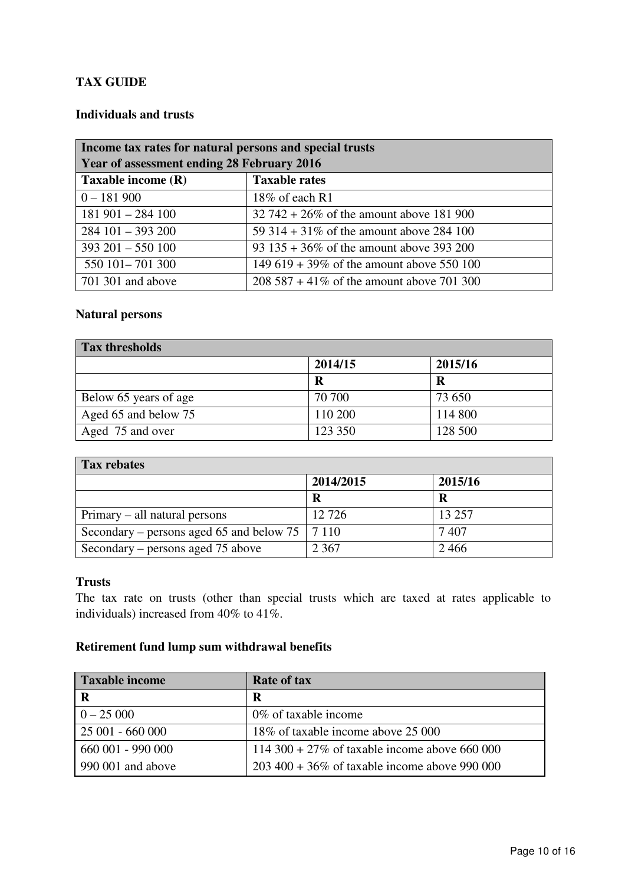# **TAX GUIDE**

# **Individuals and trusts**

| Income tax rates for natural persons and special trusts |                                              |  |
|---------------------------------------------------------|----------------------------------------------|--|
| Year of assessment ending 28 February 2016              |                                              |  |
| Taxable income (R)                                      | <b>Taxable rates</b>                         |  |
| $0 - 181900$                                            | 18% of each $R1$                             |  |
| $181901 - 284100$                                       | $32\,742 + 26\%$ of the amount above 181 900 |  |
| $284101 - 393200$                                       | 59 314 + 31\% of the amount above 284 100    |  |
| $393\ 201 - 550\ 100$                                   | 93 $135 + 36\%$ of the amount above 393 200  |  |
| 550 101 - 701 300                                       | 149 619 + 39% of the amount above 550 100    |  |
| 701 301 and above                                       | 208 587 + 41\% of the amount above 701 300   |  |

### **Natural persons**

| <b>Tax thresholds</b> |         |         |
|-----------------------|---------|---------|
|                       | 2014/15 | 2015/16 |
|                       | R       | R       |
| Below 65 years of age | 70 700  | 73 650  |
| Aged 65 and below 75  | 110 200 | 114 800 |
| Aged 75 and over      | 123 350 | 128 500 |

| <b>Tax rebates</b>                               |           |         |
|--------------------------------------------------|-----------|---------|
|                                                  | 2014/2015 | 2015/16 |
|                                                  | R         | R       |
| Primary – all natural persons                    | 12726     | 13 257  |
| Secondary – persons aged 65 and below 75   7 110 |           | 7407    |
| Secondary – persons aged 75 above                | 2 3 6 7   | 2466    |

### **Trusts**

The tax rate on trusts (other than special trusts which are taxed at rates applicable to individuals) increased from 40% to 41%.

# **Retirement fund lump sum withdrawal benefits**

| <b>Taxable income</b> | <b>Rate of tax</b>                                |
|-----------------------|---------------------------------------------------|
| R                     | R                                                 |
| $0 - 25000$           | $0\%$ of taxable income                           |
| 25 001 - 660 000      | 18\% of taxable income above 25 000               |
| 660 001 - 990 000     | 114 300 + 27% of taxable income above 660 000     |
| 990 001 and above     | $203\,400 + 36\%$ of taxable income above 990 000 |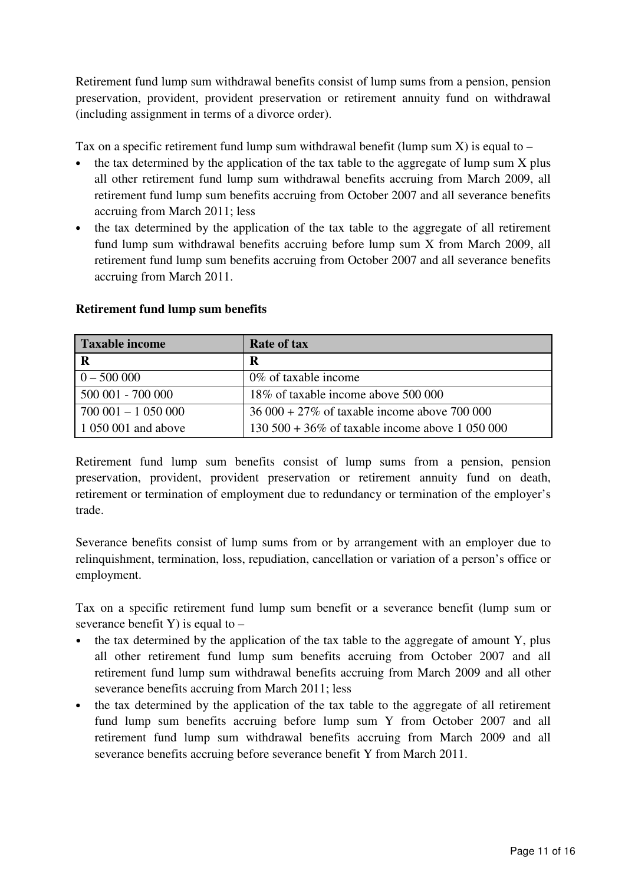Retirement fund lump sum withdrawal benefits consist of lump sums from a pension, pension preservation, provident, provident preservation or retirement annuity fund on withdrawal (including assignment in terms of a divorce order).

Tax on a specific retirement fund lump sum withdrawal benefit (lump sum  $X$ ) is equal to –

- the tax determined by the application of the tax table to the aggregate of lump sum X plus all other retirement fund lump sum withdrawal benefits accruing from March 2009, all retirement fund lump sum benefits accruing from October 2007 and all severance benefits accruing from March 2011; less
- the tax determined by the application of the tax table to the aggregate of all retirement fund lump sum withdrawal benefits accruing before lump sum X from March 2009, all retirement fund lump sum benefits accruing from October 2007 and all severance benefits accruing from March 2011.

| <b>Taxable income</b> | <b>Rate of tax</b>                                  |
|-----------------------|-----------------------------------------------------|
| $\mathbf R$           | R                                                   |
| $0 - 500000$          | $0\%$ of taxable income                             |
| 500 001 - 700 000     | 18% of taxable income above 500 000                 |
| $700001 - 1050000$    | $36000 + 27\%$ of taxable income above 700 000      |
| $1050001$ and above   | $130\,500 + 36\%$ of taxable income above 1 050 000 |

#### **Retirement fund lump sum benefits**

Retirement fund lump sum benefits consist of lump sums from a pension, pension preservation, provident, provident preservation or retirement annuity fund on death, retirement or termination of employment due to redundancy or termination of the employer's trade.

Severance benefits consist of lump sums from or by arrangement with an employer due to relinquishment, termination, loss, repudiation, cancellation or variation of a person's office or employment.

Tax on a specific retirement fund lump sum benefit or a severance benefit (lump sum or severance benefit Y) is equal to  $-$ 

- the tax determined by the application of the tax table to the aggregate of amount Y, plus all other retirement fund lump sum benefits accruing from October 2007 and all retirement fund lump sum withdrawal benefits accruing from March 2009 and all other severance benefits accruing from March 2011; less
- the tax determined by the application of the tax table to the aggregate of all retirement fund lump sum benefits accruing before lump sum Y from October 2007 and all retirement fund lump sum withdrawal benefits accruing from March 2009 and all severance benefits accruing before severance benefit Y from March 2011.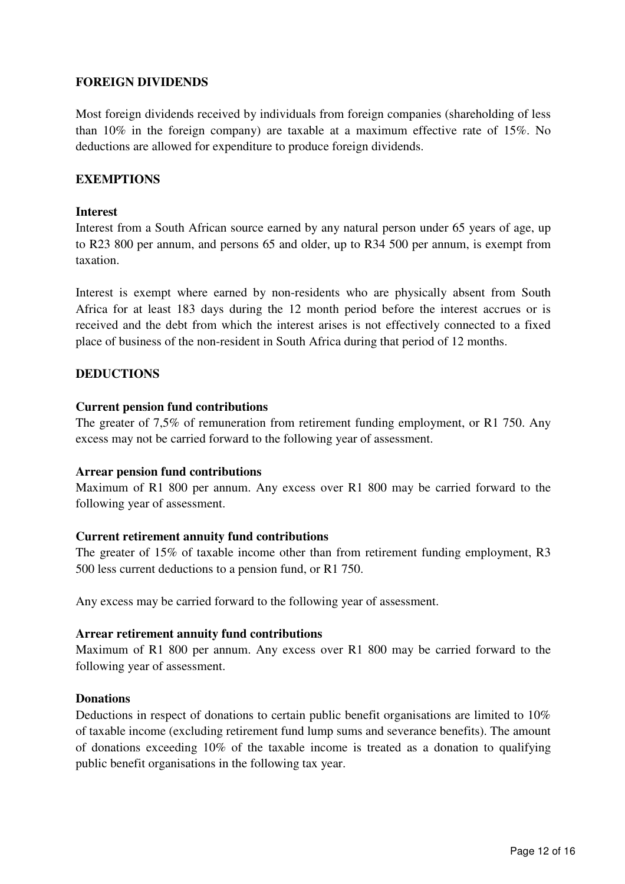## **FOREIGN DIVIDENDS**

Most foreign dividends received by individuals from foreign companies (shareholding of less than 10% in the foreign company) are taxable at a maximum effective rate of 15%. No deductions are allowed for expenditure to produce foreign dividends.

### **EXEMPTIONS**

#### **Interest**

Interest from a South African source earned by any natural person under 65 years of age, up to R23 800 per annum, and persons 65 and older, up to R34 500 per annum, is exempt from taxation.

Interest is exempt where earned by non-residents who are physically absent from South Africa for at least 183 days during the 12 month period before the interest accrues or is received and the debt from which the interest arises is not effectively connected to a fixed place of business of the non-resident in South Africa during that period of 12 months.

#### **DEDUCTIONS**

#### **Current pension fund contributions**

The greater of 7,5% of remuneration from retirement funding employment, or R1 750. Any excess may not be carried forward to the following year of assessment.

#### **Arrear pension fund contributions**

Maximum of R1 800 per annum. Any excess over R1 800 may be carried forward to the following year of assessment.

#### **Current retirement annuity fund contributions**

The greater of 15% of taxable income other than from retirement funding employment, R3 500 less current deductions to a pension fund, or R1 750.

Any excess may be carried forward to the following year of assessment.

### **Arrear retirement annuity fund contributions**

Maximum of R1 800 per annum. Any excess over R1 800 may be carried forward to the following year of assessment.

#### **Donations**

Deductions in respect of donations to certain public benefit organisations are limited to 10% of taxable income (excluding retirement fund lump sums and severance benefits). The amount of donations exceeding 10% of the taxable income is treated as a donation to qualifying public benefit organisations in the following tax year.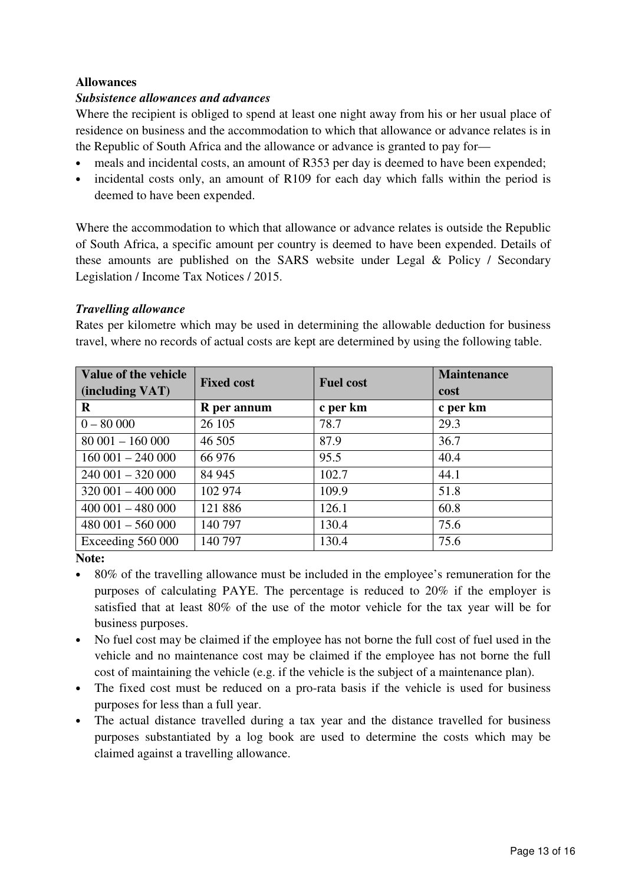## **Allowances**

## *Subsistence allowances and advances*

Where the recipient is obliged to spend at least one night away from his or her usual place of residence on business and the accommodation to which that allowance or advance relates is in the Republic of South Africa and the allowance or advance is granted to pay for—

- meals and incidental costs, an amount of R353 per day is deemed to have been expended;
- incidental costs only, an amount of R109 for each day which falls within the period is deemed to have been expended.

Where the accommodation to which that allowance or advance relates is outside the Republic of South Africa, a specific amount per country is deemed to have been expended. Details of these amounts are published on the SARS website under Legal & Policy / Secondary Legislation / Income Tax Notices / 2015.

## *Travelling allowance*

Rates per kilometre which may be used in determining the allowable deduction for business travel, where no records of actual costs are kept are determined by using the following table.

| Value of the vehicle | <b>Fixed cost</b> | <b>Fuel cost</b> | <b>Maintenance</b> |
|----------------------|-------------------|------------------|--------------------|
| (including VAT)      |                   |                  | cost               |
| R                    | R per annum       | c per km         | c per km           |
| $0 - 80000$          | 26 105            | 78.7             | 29.3               |
| $80001 - 160000$     | 46 50 5           | 87.9             | 36.7               |
| $160001 - 240000$    | 66 976            | 95.5             | 40.4               |
| $240001 - 320000$    | 84 945            | 102.7            | 44.1               |
| $320001 - 400000$    | 102 974           | 109.9            | 51.8               |
| $400001 - 480000$    | 121 886           | 126.1            | 60.8               |
| $480001 - 560000$    | 140 797           | 130.4            | 75.6               |
| Exceeding 560 000    | 140 797           | 130.4            | 75.6               |

**Note:** 

- 80% of the travelling allowance must be included in the employee's remuneration for the purposes of calculating PAYE. The percentage is reduced to 20% if the employer is satisfied that at least 80% of the use of the motor vehicle for the tax year will be for business purposes.
- No fuel cost may be claimed if the employee has not borne the full cost of fuel used in the vehicle and no maintenance cost may be claimed if the employee has not borne the full cost of maintaining the vehicle (e.g. if the vehicle is the subject of a maintenance plan).
- The fixed cost must be reduced on a pro-rata basis if the vehicle is used for business purposes for less than a full year.
- The actual distance travelled during a tax year and the distance travelled for business purposes substantiated by a log book are used to determine the costs which may be claimed against a travelling allowance.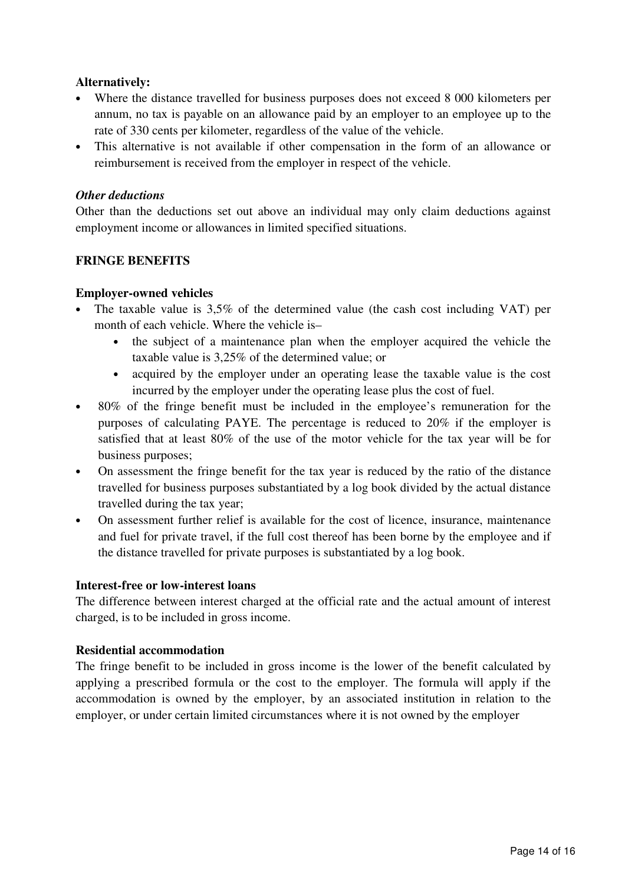## **Alternatively:**

- Where the distance travelled for business purposes does not exceed 8 000 kilometers per annum, no tax is payable on an allowance paid by an employer to an employee up to the rate of 330 cents per kilometer, regardless of the value of the vehicle.
- This alternative is not available if other compensation in the form of an allowance or reimbursement is received from the employer in respect of the vehicle.

## *Other deductions*

Other than the deductions set out above an individual may only claim deductions against employment income or allowances in limited specified situations.

## **FRINGE BENEFITS**

### **Employer-owned vehicles**

- The taxable value is 3,5% of the determined value (the cash cost including VAT) per month of each vehicle. Where the vehicle is–
	- the subject of a maintenance plan when the employer acquired the vehicle the taxable value is 3,25% of the determined value; or
	- acquired by the employer under an operating lease the taxable value is the cost incurred by the employer under the operating lease plus the cost of fuel.
- 80% of the fringe benefit must be included in the employee's remuneration for the purposes of calculating PAYE. The percentage is reduced to 20% if the employer is satisfied that at least 80% of the use of the motor vehicle for the tax year will be for business purposes;
- On assessment the fringe benefit for the tax year is reduced by the ratio of the distance travelled for business purposes substantiated by a log book divided by the actual distance travelled during the tax year;
- On assessment further relief is available for the cost of licence, insurance, maintenance and fuel for private travel, if the full cost thereof has been borne by the employee and if the distance travelled for private purposes is substantiated by a log book.

#### **Interest-free or low-interest loans**

The difference between interest charged at the official rate and the actual amount of interest charged, is to be included in gross income.

#### **Residential accommodation**

The fringe benefit to be included in gross income is the lower of the benefit calculated by applying a prescribed formula or the cost to the employer. The formula will apply if the accommodation is owned by the employer, by an associated institution in relation to the employer, or under certain limited circumstances where it is not owned by the employer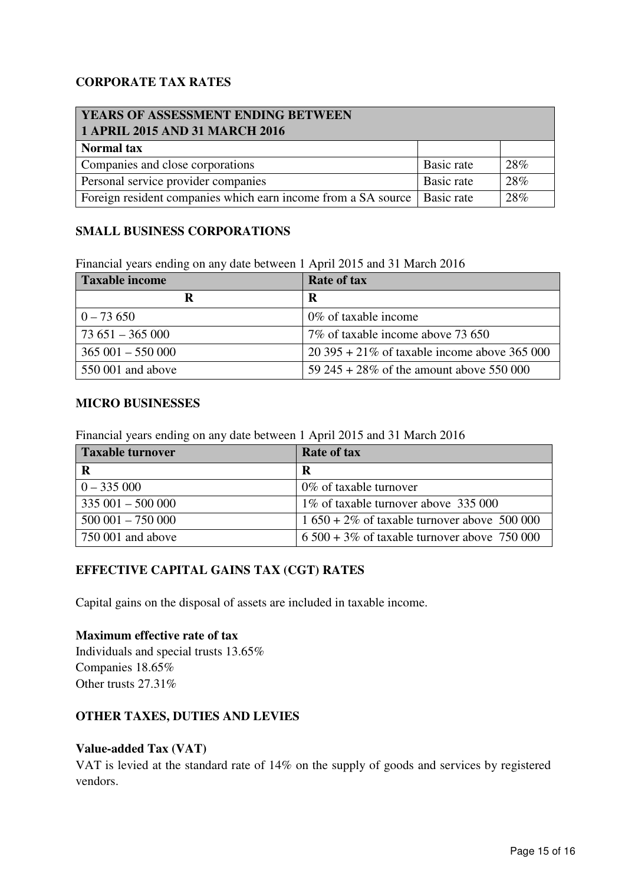# **CORPORATE TAX RATES**

| <b>YEARS OF ASSESSMENT ENDING BETWEEN</b><br>1 APRIL 2015 AND 31 MARCH 2016 |            |     |
|-----------------------------------------------------------------------------|------------|-----|
| <b>Normal tax</b>                                                           |            |     |
| Companies and close corporations                                            | Basic rate | 28% |
| Personal service provider companies                                         | Basic rate | 28% |
| Foreign resident companies which earn income from a SA source   Basic rate  |            | 28% |

### **SMALL BUSINESS CORPORATIONS**

Financial years ending on any date between 1 April 2015 and 31 March 2016

| Taxable income                 | <b>Rate of tax</b>                               |
|--------------------------------|--------------------------------------------------|
|                                | R                                                |
| $0 - 73650$                    | $0\%$ of taxable income                          |
| $\frac{1}{2}$ 73 651 – 365 000 | 7\% of taxable income above 73 650               |
| $365001 - 550000$              | $20\,395 + 21\%$ of taxable income above 365 000 |
| 550 001 and above              | 59 245 + 28% of the amount above 550 000         |

#### **MICRO BUSINESSES**

Financial years ending on any date between 1 April 2015 and 31 March 2016

| <b>Taxable turnover</b> | <b>Rate of tax</b>                             |
|-------------------------|------------------------------------------------|
|                         | R                                              |
| $0 - 335000$            | $0\%$ of taxable turnover                      |
| $335001 - 500000$       | 1% of taxable turnover above 335 000           |
| $500001 - 750000$       | $1650 + 2\%$ of taxable turnover above 500 000 |
| 750 001 and above       | $6500 + 3\%$ of taxable turnover above 750 000 |

## **EFFECTIVE CAPITAL GAINS TAX (CGT) RATES**

Capital gains on the disposal of assets are included in taxable income.

### **Maximum effective rate of tax**

Individuals and special trusts 13.65% Companies 18.65% Other trusts 27.31%

## **OTHER TAXES, DUTIES AND LEVIES**

#### **Value-added Tax (VAT)**

VAT is levied at the standard rate of 14% on the supply of goods and services by registered vendors.